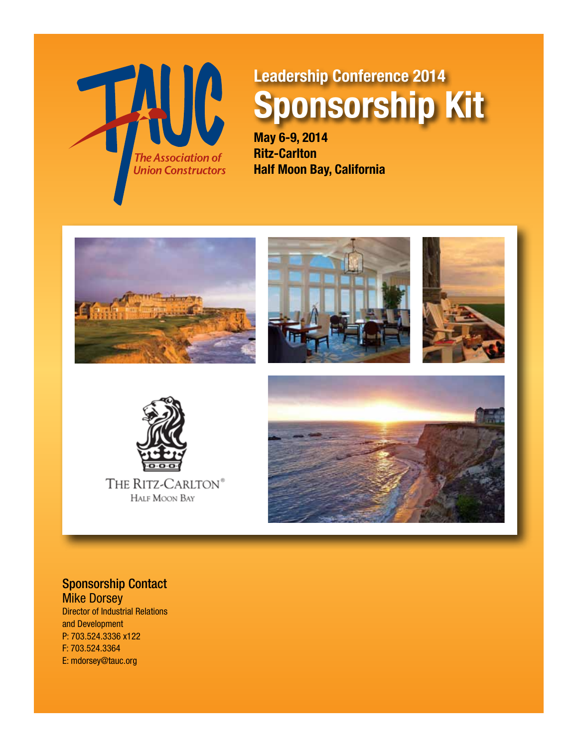

# **Leadership Conference 2014 Sponsorship Kit**

**May 6-9, 2014 Ritz-Carlton Half Moon Bay, California**











Sponsorship Contact **Mike Dorsey** 

Director of Industrial Relations and Development P: 703.524.3336 x122 F: 703.524.3364 E: mdorsey@tauc.org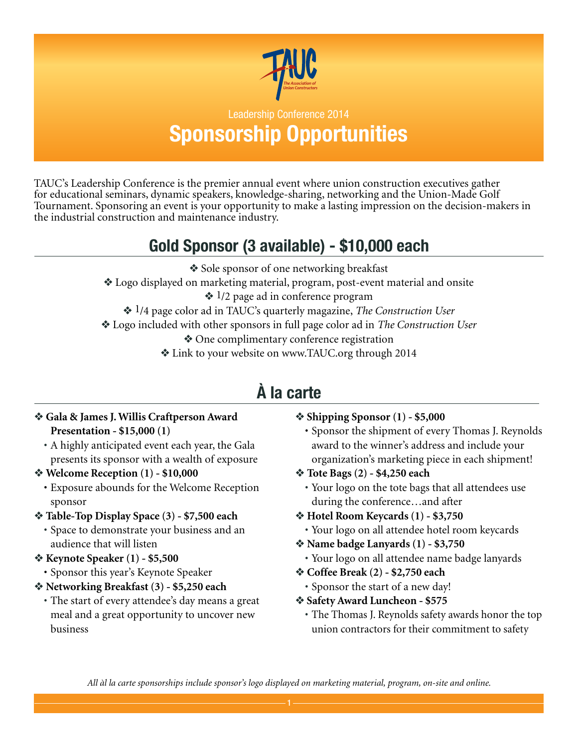

### Leadership Conference 2014 **Sponsorship Opportunities**

TAUC's Leadership Conference is the premier annual event where union construction executives gather for educational seminars, dynamic speakers, knowledge-sharing, networking and the Union-Made Golf Tournament. Sponsoring an event is your opportunity to make a lasting impression on the decision-makers in the industrial construction and maintenance industry.

## **Gold Sponsor (3 available) - \$10,000 each**

- Sole sponsor of one networking breakfast
- v Logo displayed on marketing material, program, post-event material and onsite
	- $\triangleq$  1/2 page ad in conference program
	- v 1/4 page color ad in TAUC's quarterly magazine, *The Construction User*
- v Logo included with other sponsors in full page color ad in *The Construction User*
	- One complimentary conference registration
	- v Link to your website on www.TAUC.org through 2014

## **à la carte**

#### v **Gala & James J. Willis Craftperson Award Presentation - \$15,000 (1)**

- A highly anticipated event each year, the Gala presents its sponsor with a wealth of exposure
- *❖* **Welcome Reception (1) \$10,000** 
	- • Exposure abounds for the Welcome Reception sponsor
- v **Table-Top Display Space (3) \$7,500 each**
	- Space to demonstrate your business and an audience that will listen
- v **Keynote Speaker (1) \$5,500**
	- Sponsor this year's Keynote Speaker
- v **Networking Breakfast (3) \$5,250 each**
	- The start of every attendee's day means a great meal and a great opportunity to uncover new business

#### v **Shipping Sponsor (1) - \$5,000**

- • Sponsor the shipment of every Thomas J. Reynolds award to the winner's address and include your organization's marketing piece in each shipment!
- v **Tote Bags (2) \$4,250 each**
	- Your logo on the tote bags that all attendees use during the conference…and after
- v **Hotel Room Keycards (1) \$3,750**
- Your logo on all attendee hotel room keycards
- v **Name badge Lanyards (1) \$3,750**
	- Your logo on all attendee name badge lanyards
- v **Coffee Break (2) \$2,750 each**
	- Sponsor the start of a new day!
- v **Safety Award Luncheon \$575**
	- The Thomas J. Reynolds safety awards honor the top union contractors for their commitment to safety

*All àl la carte sponsorships include sponsor's logo displayed on marketing material, program, on-site and online.*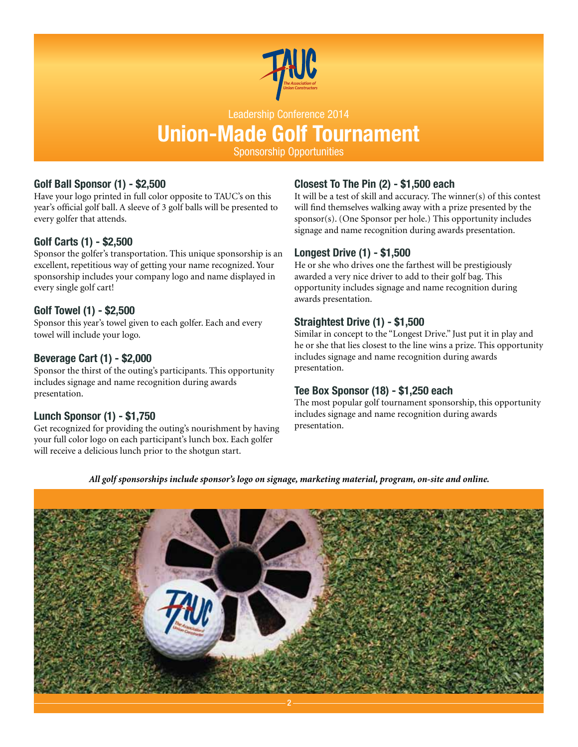

#### Leadership Conference 2014

## **Union-Made Golf Tournament**

Sponsorship Opportunities

#### **Golf Ball Sponsor (1) - \$2,500**

Have your logo printed in full color opposite to TAUC's on this year's official golf ball. A sleeve of 3 golf balls will be presented to every golfer that attends.

#### **Golf Carts (1) - \$2,500**

Sponsor the golfer's transportation. This unique sponsorship is an excellent, repetitious way of getting your name recognized. Your sponsorship includes your company logo and name displayed in every single golf cart!

#### **Golf Towel (1) - \$2,500**

Sponsor this year's towel given to each golfer. Each and every towel will include your logo.

#### **Beverage Cart (1) - \$2,000**

Sponsor the thirst of the outing's participants. This opportunity includes signage and name recognition during awards presentation.

#### **Lunch Sponsor (1) - \$1,750**

Get recognized for providing the outing's nourishment by having your full color logo on each participant's lunch box. Each golfer will receive a delicious lunch prior to the shotgun start.

#### **Closest To The Pin (2) - \$1,500 each**

It will be a test of skill and accuracy. The winner(s) of this contest will find themselves walking away with a prize presented by the sponsor(s). (One Sponsor per hole.) This opportunity includes signage and name recognition during awards presentation.

#### **Longest Drive (1) - \$1,500**

He or she who drives one the farthest will be prestigiously awarded a very nice driver to add to their golf bag. This opportunity includes signage and name recognition during awards presentation.

#### **Straightest Drive (1) - \$1,500**

Similar in concept to the "Longest Drive." Just put it in play and he or she that lies closest to the line wins a prize. This opportunity includes signage and name recognition during awards presentation.

#### **Tee Box Sponsor (18) - \$1,250 each**

The most popular golf tournament sponsorship, this opportunity includes signage and name recognition during awards presentation.

*All golf sponsorships include sponsor's logo on signage, marketing material, program, on-site and online.*

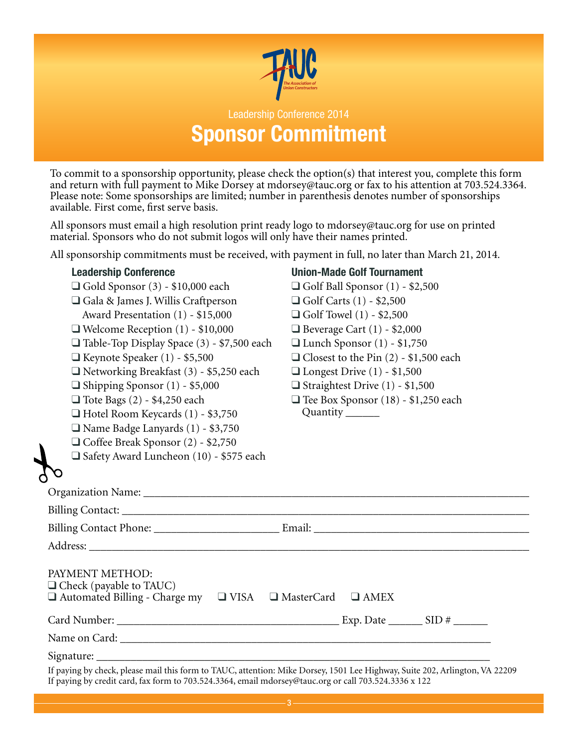

### Leadership Conference 2014 **Sponsor Commitment**

To commit to a sponsorship opportunity, please check the option(s) that interest you, complete this form and return with full payment to Mike Dorsey at mdorsey@tauc.org or fax to his attention at 703.524.3364. Please note: Some sponsorships are limited; number in parenthesis denotes number of sponsorships available. First come, first serve basis.

All sponsors must email a high resolution print ready logo to mdorsey@tauc.org for use on printed material. Sponsors who do not submit logos will only have their names printed.

All sponsorship commitments must be received, with payment in full, no later than March 21, 2014.

| <b>Leadership Conference</b>                                                                                           | <b>Union-Made Golf Tournament</b>            |
|------------------------------------------------------------------------------------------------------------------------|----------------------------------------------|
| $\Box$ Gold Sponsor (3) - \$10,000 each                                                                                | $\Box$ Golf Ball Sponsor (1) - \$2,500       |
| $\Box$ Gala & James J. Willis Craftperson                                                                              | $\Box$ Golf Carts (1) - \$2,500              |
| Award Presentation (1) - \$15,000                                                                                      | $\Box$ Golf Towel (1) - \$2,500              |
| $\Box$ Welcome Reception (1) - \$10,000                                                                                | $\Box$ Beverage Cart (1) - \$2,000           |
| □ Table-Top Display Space (3) - \$7,500 each                                                                           | $\Box$ Lunch Sponsor (1) - \$1,750           |
| $\Box$ Keynote Speaker (1) - \$5,500                                                                                   | $\Box$ Closest to the Pin (2) - \$1,500 each |
| $\Box$ Networking Breakfast (3) - \$5,250 each                                                                         | $\Box$ Longest Drive (1) - \$1,500           |
| $\Box$ Shipping Sponsor (1) - \$5,000                                                                                  | $\Box$ Straightest Drive (1) - \$1,500       |
| $\Box$ Tote Bags (2) - \$4,250 each                                                                                    | Tee Box Sponsor (18) - \$1,250 each          |
| $\Box$ Hotel Room Keycards (1) - \$3,750                                                                               | Quantity _______                             |
| Name Badge Lanyards (1) - \$3,750                                                                                      |                                              |
| $\Box$ Coffee Break Sponsor (2) - \$2,750                                                                              |                                              |
| Safety Award Luncheon (10) - \$575 each                                                                                |                                              |
| <b>YO</b>                                                                                                              |                                              |
|                                                                                                                        |                                              |
|                                                                                                                        |                                              |
|                                                                                                                        |                                              |
|                                                                                                                        |                                              |
| PAYMENT METHOD:<br>$\Box$ Check (payable to TAUC)<br>□ Automated Billing - Charge my □ VISA □ MasterCard □ AMEX        |                                              |
|                                                                                                                        |                                              |
|                                                                                                                        |                                              |
|                                                                                                                        |                                              |
| If paying by check please mail this form to TAUC attention: Mike Dorsey 1501 Lee Highway Suite 202, Arlington VA 22209 |                                              |

If paying by check, please mail this form to TAUC, attention: Mike Dorsey, 1501 Lee Highway, Suite 202, Arlington, VA 22209 If paying by credit card, fax form to 703.524.3364, email mdorsey@tauc.org or call 703.524.3336 x 122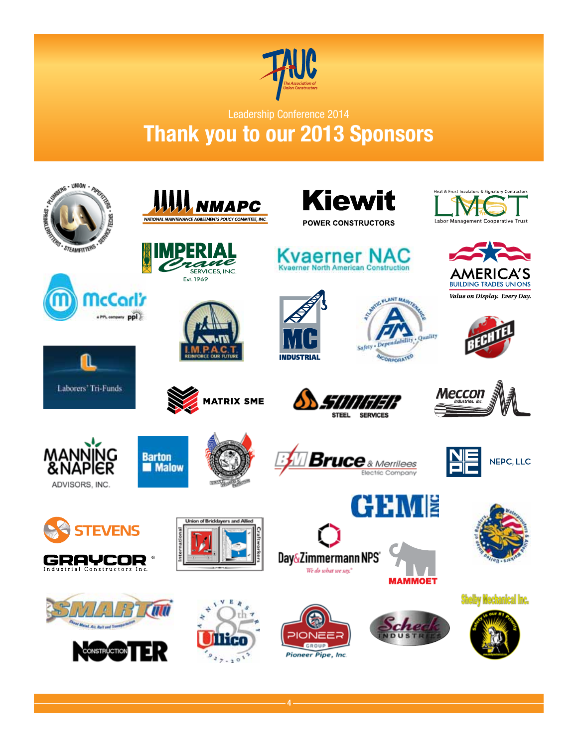

Leadership Conference 2014

## **Thank you to our 2013 Sponsors**